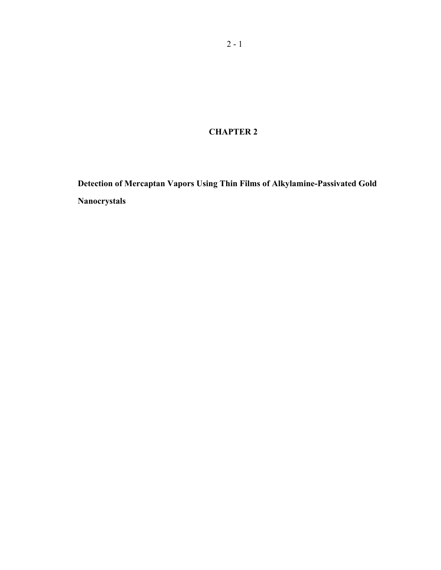**CHAPTER 2** 

**Detection of Mercaptan Vapors Using Thin Films of Alkylamine-Passivated Gold Nanocrystals**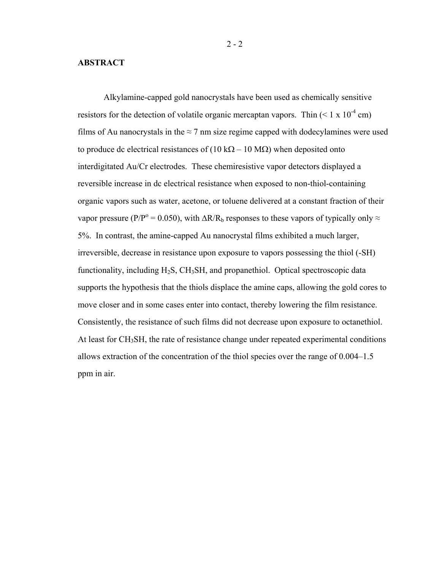## **ABSTRACT**

Alkylamine-capped gold nanocrystals have been used as chemically sensitive resistors for the detection of volatile organic mercaptan vapors. Thin  $(< 1 \times 10^{-4}$  cm) films of Au nanocrystals in the  $\approx$  7 nm size regime capped with dodecylamines were used to produce dc electrical resistances of (10 kΩ – 10 MΩ) when deposited onto interdigitated Au/Cr electrodes. These chemiresistive vapor detectors displayed a reversible increase in dc electrical resistance when exposed to non-thiol-containing organic vapors such as water, acetone, or toluene delivered at a constant fraction of their vapor pressure (P/P<sup>o</sup> = 0.050), with  $\Delta R/R_b$  responses to these vapors of typically only  $\approx$ 5%. In contrast, the amine-capped Au nanocrystal films exhibited a much larger, irreversible, decrease in resistance upon exposure to vapors possessing the thiol (-SH) functionality, including  $H_2S$ ,  $CH_3SH$ , and propanethiol. Optical spectroscopic data supports the hypothesis that the thiols displace the amine caps, allowing the gold cores to move closer and in some cases enter into contact, thereby lowering the film resistance. Consistently, the resistance of such films did not decrease upon exposure to octanethiol. At least for CH<sub>3</sub>SH, the rate of resistance change under repeated experimental conditions allows extraction of the concentration of the thiol species over the range of 0.004–1.5 ppm in air.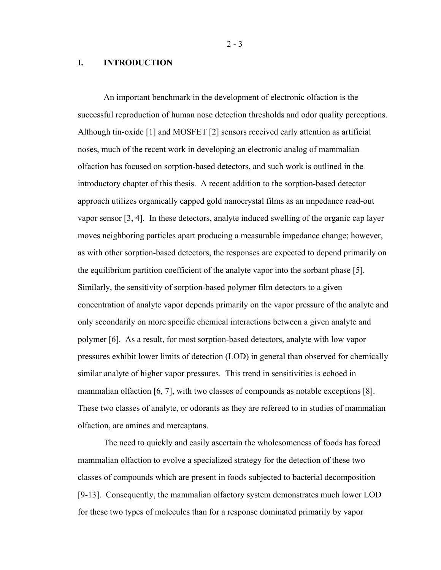$2 - 3$ 

## **I. INTRODUCTION**

An important benchmark in the development of electronic olfaction is the successful reproduction of human nose detection thresholds and odor quality perceptions. Although tin-oxide [1] and MOSFET [2] sensors received early attention as artificial noses, much of the recent work in developing an electronic analog of mammalian olfaction has focused on sorption-based detectors, and such work is outlined in the introductory chapter of this thesis. A recent addition to the sorption-based detector approach utilizes organically capped gold nanocrystal films as an impedance read-out vapor sensor [3, 4]. In these detectors, analyte induced swelling of the organic cap layer moves neighboring particles apart producing a measurable impedance change; however, as with other sorption-based detectors, the responses are expected to depend primarily on the equilibrium partition coefficient of the analyte vapor into the sorbant phase [5]. Similarly, the sensitivity of sorption-based polymer film detectors to a given concentration of analyte vapor depends primarily on the vapor pressure of the analyte and only secondarily on more specific chemical interactions between a given analyte and polymer [6]. As a result, for most sorption-based detectors, analyte with low vapor pressures exhibit lower limits of detection (LOD) in general than observed for chemically similar analyte of higher vapor pressures. This trend in sensitivities is echoed in mammalian olfaction [6, 7], with two classes of compounds as notable exceptions [8]. These two classes of analyte, or odorants as they are refereed to in studies of mammalian olfaction, are amines and mercaptans.

The need to quickly and easily ascertain the wholesomeness of foods has forced mammalian olfaction to evolve a specialized strategy for the detection of these two classes of compounds which are present in foods subjected to bacterial decomposition [9-13]. Consequently, the mammalian olfactory system demonstrates much lower LOD for these two types of molecules than for a response dominated primarily by vapor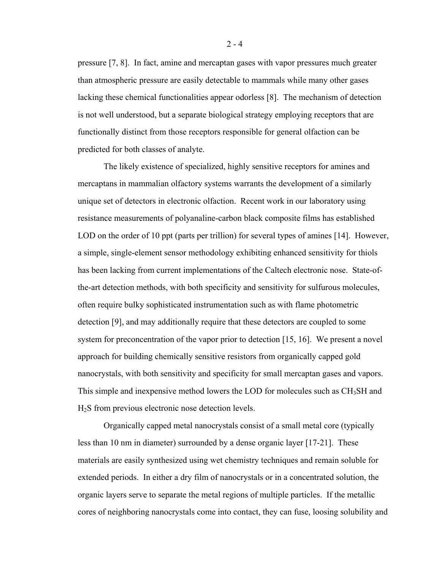pressure [7, 8]. In fact, amine and mercaptan gases with vapor pressures much greater than atmospheric pressure are easily detectable to mammals while many other gases lacking these chemical functionalities appear odorless [8]. The mechanism of detection is not well understood, but a separate biological strategy employing receptors that are functionally distinct from those receptors responsible for general olfaction can be predicted for both classes of analyte.

The likely existence of specialized, highly sensitive receptors for amines and mercaptans in mammalian olfactory systems warrants the development of a similarly unique set of detectors in electronic olfaction. Recent work in our laboratory using resistance measurements of polyanaline-carbon black composite films has established LOD on the order of 10 ppt (parts per trillion) for several types of amines [14]. However, a simple, single-element sensor methodology exhibiting enhanced sensitivity for thiols has been lacking from current implementations of the Caltech electronic nose. State-ofthe-art detection methods, with both specificity and sensitivity for sulfurous molecules, often require bulky sophisticated instrumentation such as with flame photometric detection [9], and may additionally require that these detectors are coupled to some system for preconcentration of the vapor prior to detection [15, 16]. We present a novel approach for building chemically sensitive resistors from organically capped gold nanocrystals, with both sensitivity and specificity for small mercaptan gases and vapors. This simple and inexpensive method lowers the LOD for molecules such as CH<sub>3</sub>SH and H2S from previous electronic nose detection levels.

Organically capped metal nanocrystals consist of a small metal core (typically less than 10 nm in diameter) surrounded by a dense organic layer [17-21]. These materials are easily synthesized using wet chemistry techniques and remain soluble for extended periods. In either a dry film of nanocrystals or in a concentrated solution, the organic layers serve to separate the metal regions of multiple particles. If the metallic cores of neighboring nanocrystals come into contact, they can fuse, loosing solubility and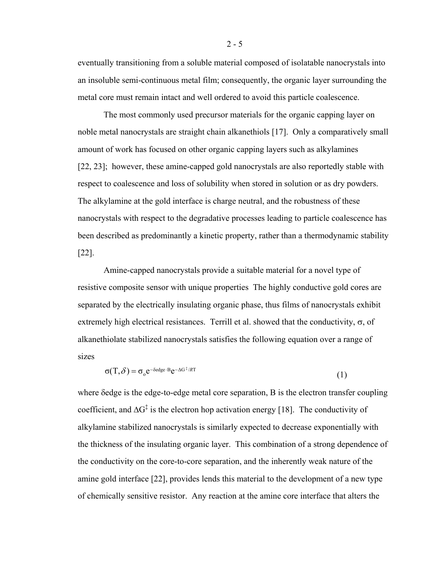eventually transitioning from a soluble material composed of isolatable nanocrystals into an insoluble semi-continuous metal film; consequently, the organic layer surrounding the metal core must remain intact and well ordered to avoid this particle coalescence.

The most commonly used precursor materials for the organic capping layer on noble metal nanocrystals are straight chain alkanethiols [17]. Only a comparatively small amount of work has focused on other organic capping layers such as alkylamines [22, 23]; however, these amine-capped gold nanocrystals are also reportedly stable with respect to coalescence and loss of solubility when stored in solution or as dry powders. The alkylamine at the gold interface is charge neutral, and the robustness of these nanocrystals with respect to the degradative processes leading to particle coalescence has been described as predominantly a kinetic property, rather than a thermodynamic stability [22].

Amine-capped nanocrystals provide a suitable material for a novel type of resistive composite sensor with unique properties The highly conductive gold cores are separated by the electrically insulating organic phase, thus films of nanocrystals exhibit extremely high electrical resistances. Terrill et al. showed that the conductivity,  $\sigma$ , of alkanethiolate stabilized nanocrystals satisfies the following equation over a range of sizes

$$
\sigma(T,\delta) = \sigma_0 e^{-\delta \text{edge} \cdot \text{B}} e^{-\Delta G^{\ddagger}/RT}
$$
\n(1)

where δedge is the edge-to-edge metal core separation. B is the electron transfer coupling coefficient, and  $\Delta G^{\ddagger}$  is the electron hop activation energy [18]. The conductivity of alkylamine stabilized nanocrystals is similarly expected to decrease exponentially with the thickness of the insulating organic layer. This combination of a strong dependence of the conductivity on the core-to-core separation, and the inherently weak nature of the amine gold interface [22], provides lends this material to the development of a new type of chemically sensitive resistor. Any reaction at the amine core interface that alters the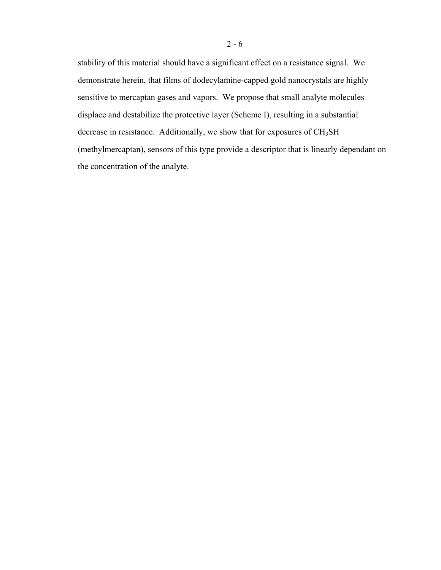stability of this material should have a significant effect on a resistance signal. We demonstrate herein, that films of dodecylamine-capped gold nanocrystals are highly sensitive to mercaptan gases and vapors. We propose that small analyte molecules displace and destabilize the protective layer (Scheme I), resulting in a substantial decrease in resistance. Additionally, we show that for exposures of CH<sub>3</sub>SH (methylmercaptan), sensors of this type provide a descriptor that is linearly dependant on the concentration of the analyte.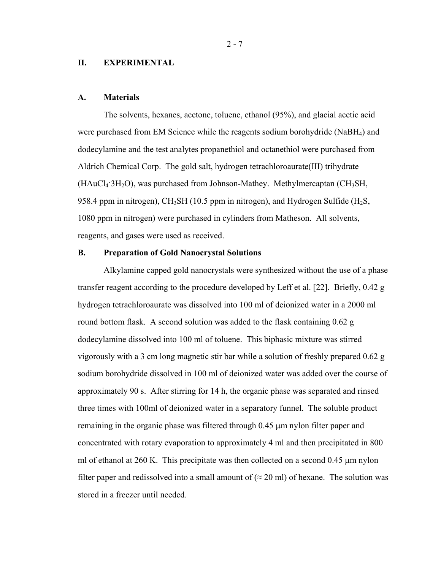#### **II. EXPERIMENTAL**

#### **A. Materials**

The solvents, hexanes, acetone, toluene, ethanol (95%), and glacial acetic acid were purchased from EM Science while the reagents sodium borohydride (NaBH<sub>4</sub>) and dodecylamine and the test analytes propanethiol and octanethiol were purchased from Aldrich Chemical Corp. The gold salt, hydrogen tetrachloroaurate(III) trihydrate  $(HAuCl<sub>4</sub>:3H<sub>2</sub>O)$ , was purchased from Johnson-Mathey. Methylmercaptan (CH<sub>3</sub>SH, 958.4 ppm in nitrogen), CH<sub>3</sub>SH (10.5 ppm in nitrogen), and Hydrogen Sulfide (H<sub>2</sub>S, 1080 ppm in nitrogen) were purchased in cylinders from Matheson. All solvents, reagents, and gases were used as received.

## **B. Preparation of Gold Nanocrystal Solutions**

Alkylamine capped gold nanocrystals were synthesized without the use of a phase transfer reagent according to the procedure developed by Leff et al. [22]. Briefly, 0.42 g hydrogen tetrachloroaurate was dissolved into 100 ml of deionized water in a 2000 ml round bottom flask. A second solution was added to the flask containing 0.62 g dodecylamine dissolved into 100 ml of toluene. This biphasic mixture was stirred vigorously with a 3 cm long magnetic stir bar while a solution of freshly prepared 0.62 g sodium borohydride dissolved in 100 ml of deionized water was added over the course of approximately 90 s. After stirring for 14 h, the organic phase was separated and rinsed three times with 100ml of deionized water in a separatory funnel. The soluble product remaining in the organic phase was filtered through 0.45 µm nylon filter paper and concentrated with rotary evaporation to approximately 4 ml and then precipitated in 800 ml of ethanol at 260 K. This precipitate was then collected on a second 0.45  $\mu$ m nylon filter paper and redissolved into a small amount of ( $\approx$  20 ml) of hexane. The solution was stored in a freezer until needed.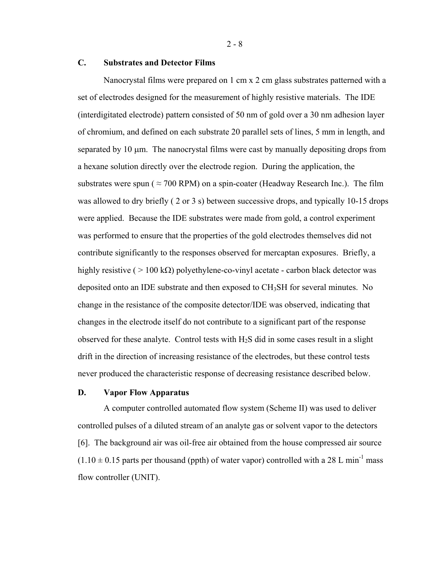## **C. Substrates and Detector Films**

Nanocrystal films were prepared on 1 cm x 2 cm glass substrates patterned with a set of electrodes designed for the measurement of highly resistive materials. The IDE (interdigitated electrode) pattern consisted of 50 nm of gold over a 30 nm adhesion layer of chromium, and defined on each substrate 20 parallel sets of lines, 5 mm in length, and separated by 10  $\mu$ m. The nanocrystal films were cast by manually depositing drops from a hexane solution directly over the electrode region. During the application, the substrates were spun ( $\approx$  700 RPM) on a spin-coater (Headway Research Inc.). The film was allowed to dry briefly ( 2 or 3 s) between successive drops, and typically 10-15 drops were applied. Because the IDE substrates were made from gold, a control experiment was performed to ensure that the properties of the gold electrodes themselves did not contribute significantly to the responses observed for mercaptan exposures. Briefly, a highly resistive ( $> 100 \text{ k}\Omega$ ) polyethylene-co-vinyl acetate - carbon black detector was deposited onto an IDE substrate and then exposed to CH3SH for several minutes. No change in the resistance of the composite detector/IDE was observed, indicating that changes in the electrode itself do not contribute to a significant part of the response observed for these analyte. Control tests with  $H_2S$  did in some cases result in a slight drift in the direction of increasing resistance of the electrodes, but these control tests never produced the characteristic response of decreasing resistance described below.

## **D. Vapor Flow Apparatus**

A computer controlled automated flow system (Scheme II) was used to deliver controlled pulses of a diluted stream of an analyte gas or solvent vapor to the detectors [6]. The background air was oil-free air obtained from the house compressed air source  $(1.10 \pm 0.15$  parts per thousand (ppth) of water vapor) controlled with a 28 L min<sup>-1</sup> mass flow controller (UNIT).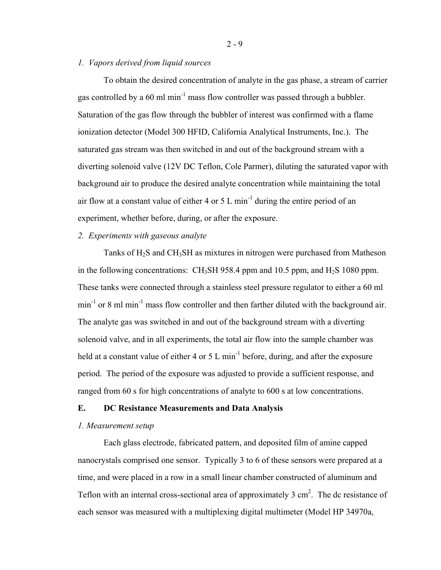## *1. Vapors derived from liquid sources*

To obtain the desired concentration of analyte in the gas phase, a stream of carrier gas controlled by a  $60$  ml min<sup>-1</sup> mass flow controller was passed through a bubbler. Saturation of the gas flow through the bubbler of interest was confirmed with a flame ionization detector (Model 300 HFID, California Analytical Instruments, Inc.). The saturated gas stream was then switched in and out of the background stream with a diverting solenoid valve (12V DC Teflon, Cole Parmer), diluting the saturated vapor with background air to produce the desired analyte concentration while maintaining the total air flow at a constant value of either 4 or 5 L min<sup>-1</sup> during the entire period of an experiment, whether before, during, or after the exposure.

## *2. Experiments with gaseous analyte*

Tanks of H<sub>2</sub>S and CH<sub>3</sub>SH as mixtures in nitrogen were purchased from Matheson in the following concentrations: CH<sub>3</sub>SH 958.4 ppm and 10.5 ppm, and H<sub>2</sub>S 1080 ppm. These tanks were connected through a stainless steel pressure regulator to either a 60 ml  $min^{-1}$  or 8 ml min<sup>-1</sup> mass flow controller and then farther diluted with the background air. The analyte gas was switched in and out of the background stream with a diverting solenoid valve, and in all experiments, the total air flow into the sample chamber was held at a constant value of either 4 or 5 L min<sup>-1</sup> before, during, and after the exposure period. The period of the exposure was adjusted to provide a sufficient response, and ranged from 60 s for high concentrations of analyte to 600 s at low concentrations.

## **E. DC Resistance Measurements and Data Analysis**

### *1. Measurement setup*

Each glass electrode, fabricated pattern, and deposited film of amine capped nanocrystals comprised one sensor. Typically 3 to 6 of these sensors were prepared at a time, and were placed in a row in a small linear chamber constructed of aluminum and Teflon with an internal cross-sectional area of approximately  $3 \text{ cm}^2$ . The dc resistance of each sensor was measured with a multiplexing digital multimeter (Model HP 34970a,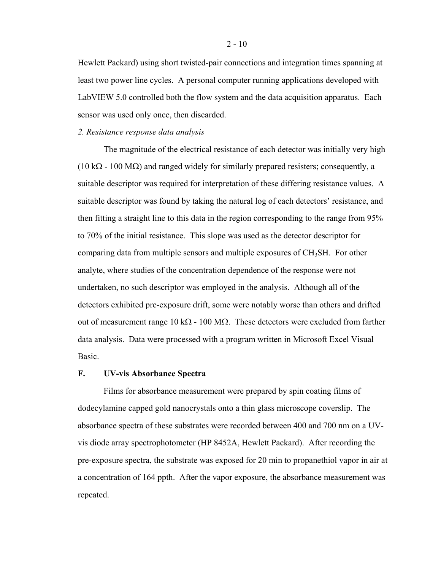Hewlett Packard) using short twisted-pair connections and integration times spanning at least two power line cycles. A personal computer running applications developed with LabVIEW 5.0 controlled both the flow system and the data acquisition apparatus. Each sensor was used only once, then discarded.

## *2. Resistance response data analysis*

The magnitude of the electrical resistance of each detector was initially very high  $(10 \text{ k}\Omega - 100 \text{ M}\Omega)$  and ranged widely for similarly prepared resisters; consequently, a suitable descriptor was required for interpretation of these differing resistance values. A suitable descriptor was found by taking the natural log of each detectors' resistance, and then fitting a straight line to this data in the region corresponding to the range from 95% to 70% of the initial resistance. This slope was used as the detector descriptor for comparing data from multiple sensors and multiple exposures of  $CH<sub>3</sub>SH$ . For other analyte, where studies of the concentration dependence of the response were not undertaken, no such descriptor was employed in the analysis. Although all of the detectors exhibited pre-exposure drift, some were notably worse than others and drifted out of measurement range 10 kΩ - 100 MΩ. These detectors were excluded from farther data analysis. Data were processed with a program written in Microsoft Excel Visual Basic.

## **F. UV-vis Absorbance Spectra**

Films for absorbance measurement were prepared by spin coating films of dodecylamine capped gold nanocrystals onto a thin glass microscope coverslip. The absorbance spectra of these substrates were recorded between 400 and 700 nm on a UVvis diode array spectrophotometer (HP 8452A, Hewlett Packard). After recording the pre-exposure spectra, the substrate was exposed for 20 min to propanethiol vapor in air at a concentration of 164 ppth. After the vapor exposure, the absorbance measurement was repeated.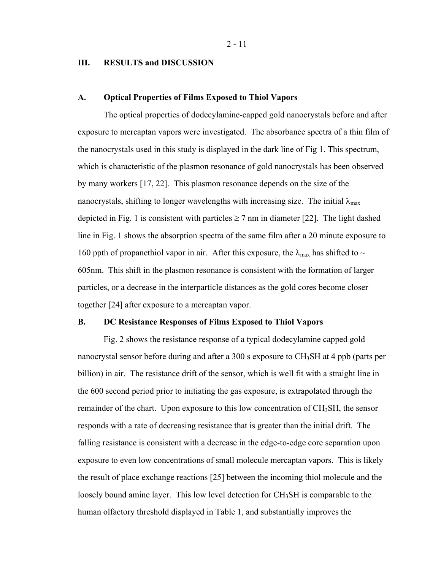2 - 11

## **III. RESULTS and DISCUSSION**

#### **A. Optical Properties of Films Exposed to Thiol Vapors**

The optical properties of dodecylamine-capped gold nanocrystals before and after exposure to mercaptan vapors were investigated. The absorbance spectra of a thin film of the nanocrystals used in this study is displayed in the dark line of Fig 1. This spectrum, which is characteristic of the plasmon resonance of gold nanocrystals has been observed by many workers [17, 22]. This plasmon resonance depends on the size of the nanocrystals, shifting to longer wavelengths with increasing size. The initial  $\lambda_{\text{max}}$ depicted in Fig. 1 is consistent with particles  $\geq$  7 nm in diameter [22]. The light dashed line in Fig. 1 shows the absorption spectra of the same film after a 20 minute exposure to 160 ppth of propanethiol vapor in air. After this exposure, the  $\lambda_{\text{max}}$  has shifted to  $\sim$ 605nm. This shift in the plasmon resonance is consistent with the formation of larger particles, or a decrease in the interparticle distances as the gold cores become closer together [24] after exposure to a mercaptan vapor.

## **B. DC Resistance Responses of Films Exposed to Thiol Vapors**

Fig. 2 shows the resistance response of a typical dodecylamine capped gold nanocrystal sensor before during and after a 300 s exposure to  $CH<sub>3</sub>SH$  at 4 ppb (parts per billion) in air. The resistance drift of the sensor, which is well fit with a straight line in the 600 second period prior to initiating the gas exposure, is extrapolated through the remainder of the chart. Upon exposure to this low concentration of CH3SH, the sensor responds with a rate of decreasing resistance that is greater than the initial drift. The falling resistance is consistent with a decrease in the edge-to-edge core separation upon exposure to even low concentrations of small molecule mercaptan vapors. This is likely the result of place exchange reactions [25] between the incoming thiol molecule and the loosely bound amine layer. This low level detection for CH<sub>3</sub>SH is comparable to the human olfactory threshold displayed in Table 1, and substantially improves the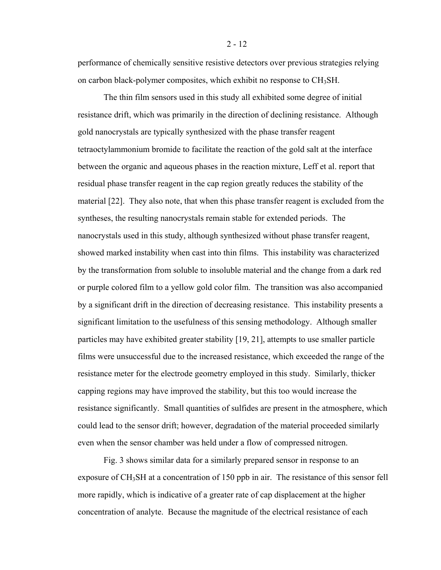performance of chemically sensitive resistive detectors over previous strategies relying on carbon black-polymer composites, which exhibit no response to CH<sub>3</sub>SH.

The thin film sensors used in this study all exhibited some degree of initial resistance drift, which was primarily in the direction of declining resistance. Although gold nanocrystals are typically synthesized with the phase transfer reagent tetraoctylammonium bromide to facilitate the reaction of the gold salt at the interface between the organic and aqueous phases in the reaction mixture, Leff et al. report that residual phase transfer reagent in the cap region greatly reduces the stability of the material [22]. They also note, that when this phase transfer reagent is excluded from the syntheses, the resulting nanocrystals remain stable for extended periods. The nanocrystals used in this study, although synthesized without phase transfer reagent, showed marked instability when cast into thin films. This instability was characterized by the transformation from soluble to insoluble material and the change from a dark red or purple colored film to a yellow gold color film. The transition was also accompanied by a significant drift in the direction of decreasing resistance. This instability presents a significant limitation to the usefulness of this sensing methodology. Although smaller particles may have exhibited greater stability [19, 21], attempts to use smaller particle films were unsuccessful due to the increased resistance, which exceeded the range of the resistance meter for the electrode geometry employed in this study. Similarly, thicker capping regions may have improved the stability, but this too would increase the resistance significantly. Small quantities of sulfides are present in the atmosphere, which could lead to the sensor drift; however, degradation of the material proceeded similarly even when the sensor chamber was held under a flow of compressed nitrogen.

Fig. 3 shows similar data for a similarly prepared sensor in response to an exposure of CH3SH at a concentration of 150 ppb in air. The resistance of this sensor fell more rapidly, which is indicative of a greater rate of cap displacement at the higher concentration of analyte. Because the magnitude of the electrical resistance of each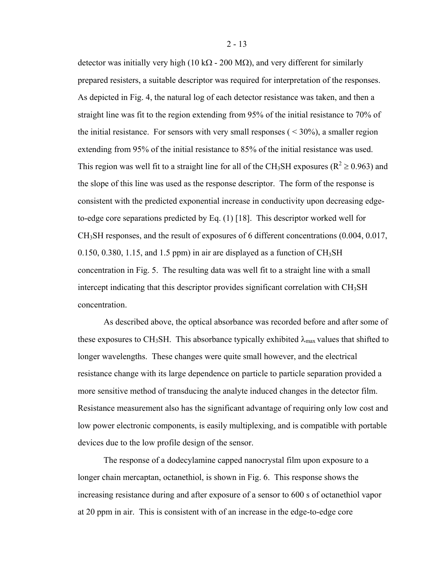detector was initially very high (10 kΩ - 200 MΩ), and very different for similarly prepared resisters, a suitable descriptor was required for interpretation of the responses. As depicted in Fig. 4, the natural log of each detector resistance was taken, and then a straight line was fit to the region extending from 95% of the initial resistance to 70% of the initial resistance. For sensors with very small responses ( $\leq 30\%$ ), a smaller region extending from 95% of the initial resistance to 85% of the initial resistance was used. This region was well fit to a straight line for all of the CH<sub>3</sub>SH exposures ( $R^2 \ge 0.963$ ) and the slope of this line was used as the response descriptor. The form of the response is consistent with the predicted exponential increase in conductivity upon decreasing edgeto-edge core separations predicted by Eq. (1) [18]. This descriptor worked well for CH3SH responses, and the result of exposures of 6 different concentrations (0.004, 0.017, 0.150, 0.380, 1.15, and 1.5 ppm) in air are displayed as a function of  $CH<sub>3</sub>SH$ concentration in Fig. 5. The resulting data was well fit to a straight line with a small intercept indicating that this descriptor provides significant correlation with  $CH<sub>3</sub>SH$ concentration.

As described above, the optical absorbance was recorded before and after some of these exposures to CH<sub>3</sub>SH. This absorbance typically exhibited  $\lambda_{\text{max}}$  values that shifted to longer wavelengths. These changes were quite small however, and the electrical resistance change with its large dependence on particle to particle separation provided a more sensitive method of transducing the analyte induced changes in the detector film. Resistance measurement also has the significant advantage of requiring only low cost and low power electronic components, is easily multiplexing, and is compatible with portable devices due to the low profile design of the sensor.

The response of a dodecylamine capped nanocrystal film upon exposure to a longer chain mercaptan, octanethiol, is shown in Fig. 6. This response shows the increasing resistance during and after exposure of a sensor to 600 s of octanethiol vapor at 20 ppm in air. This is consistent with of an increase in the edge-to-edge core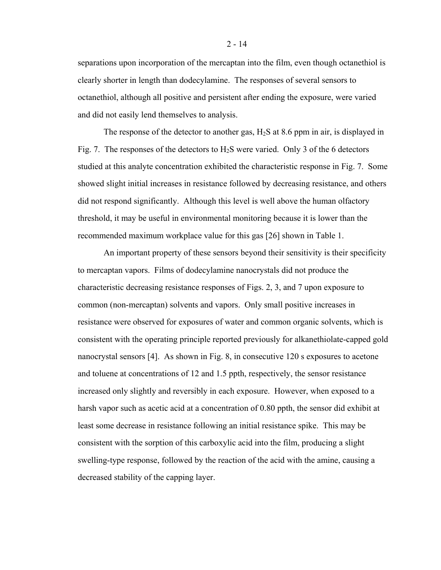separations upon incorporation of the mercaptan into the film, even though octanethiol is clearly shorter in length than dodecylamine. The responses of several sensors to octanethiol, although all positive and persistent after ending the exposure, were varied and did not easily lend themselves to analysis.

The response of the detector to another gas,  $H_2S$  at 8.6 ppm in air, is displayed in Fig. 7. The responses of the detectors to  $H_2S$  were varied. Only 3 of the 6 detectors studied at this analyte concentration exhibited the characteristic response in Fig. 7. Some showed slight initial increases in resistance followed by decreasing resistance, and others did not respond significantly. Although this level is well above the human olfactory threshold, it may be useful in environmental monitoring because it is lower than the recommended maximum workplace value for this gas [26] shown in Table 1.

An important property of these sensors beyond their sensitivity is their specificity to mercaptan vapors. Films of dodecylamine nanocrystals did not produce the characteristic decreasing resistance responses of Figs. 2, 3, and 7 upon exposure to common (non-mercaptan) solvents and vapors. Only small positive increases in resistance were observed for exposures of water and common organic solvents, which is consistent with the operating principle reported previously for alkanethiolate-capped gold nanocrystal sensors [4]. As shown in Fig. 8, in consecutive 120 s exposures to acetone and toluene at concentrations of 12 and 1.5 ppth, respectively, the sensor resistance increased only slightly and reversibly in each exposure. However, when exposed to a harsh vapor such as acetic acid at a concentration of 0.80 ppth, the sensor did exhibit at least some decrease in resistance following an initial resistance spike. This may be consistent with the sorption of this carboxylic acid into the film, producing a slight swelling-type response, followed by the reaction of the acid with the amine, causing a decreased stability of the capping layer.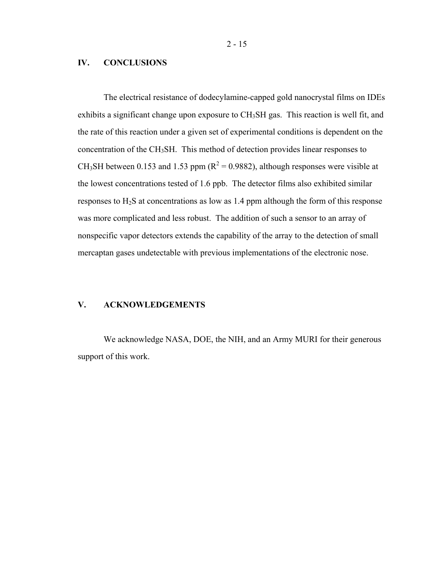2 - 15

#### **IV. CONCLUSIONS**

The electrical resistance of dodecylamine-capped gold nanocrystal films on IDEs exhibits a significant change upon exposure to CH<sub>3</sub>SH gas. This reaction is well fit, and the rate of this reaction under a given set of experimental conditions is dependent on the concentration of the CH3SH. This method of detection provides linear responses to CH<sub>3</sub>SH between 0.153 and 1.53 ppm ( $R^2 = 0.9882$ ), although responses were visible at the lowest concentrations tested of 1.6 ppb. The detector films also exhibited similar responses to  $H_2S$  at concentrations as low as 1.4 ppm although the form of this response was more complicated and less robust. The addition of such a sensor to an array of nonspecific vapor detectors extends the capability of the array to the detection of small mercaptan gases undetectable with previous implementations of the electronic nose.

## **V. ACKNOWLEDGEMENTS**

We acknowledge NASA, DOE, the NIH, and an Army MURI for their generous support of this work.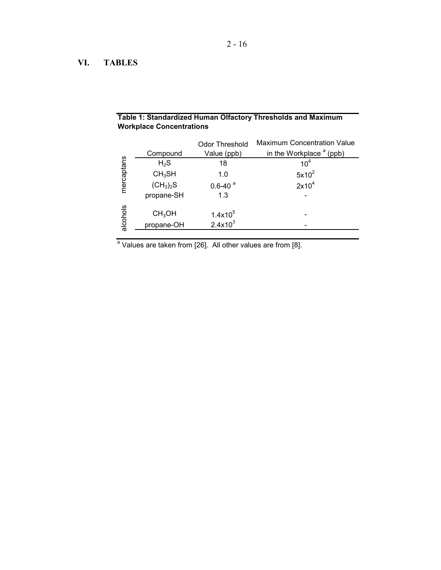# **VI. TABLES**

| <b>Workplace Concentrations</b> |                                  |                                      |                                                                  |
|---------------------------------|----------------------------------|--------------------------------------|------------------------------------------------------------------|
| mercaptans                      | Compound                         | <b>Odor Threshold</b><br>Value (ppb) | <b>Maximum Concentration Value</b><br>in the Workplace $a$ (ppb) |
|                                 | $H_2S$                           | 18                                   | 10 <sup>4</sup>                                                  |
|                                 | CH <sub>3</sub> SH               | 1.0                                  | $5x10^2$                                                         |
|                                 | $(CH_3)_2S$                      | $0.6 - 40$ <sup>a</sup>              | $2x10^4$                                                         |
|                                 | propane-SH                       | 1.3                                  |                                                                  |
| alcohols                        | CH <sub>3</sub> OH<br>propane-OH | $1.4x10^5$<br>$2.4x10^3$             |                                                                  |

**Table 1: Standardized Human Olfactory Thresholds and Maximum** 

<sup>a</sup> Values are taken from [26]. All other values are from [8].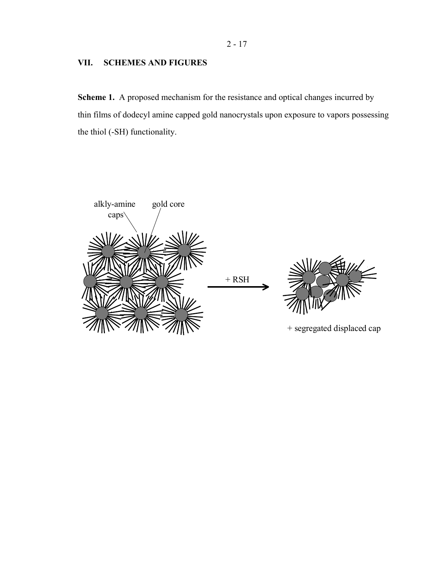# **VII. SCHEMES AND FIGURES**

**Scheme 1.** A proposed mechanism for the resistance and optical changes incurred by thin films of dodecyl amine capped gold nanocrystals upon exposure to vapors possessing the thiol (-SH) functionality.

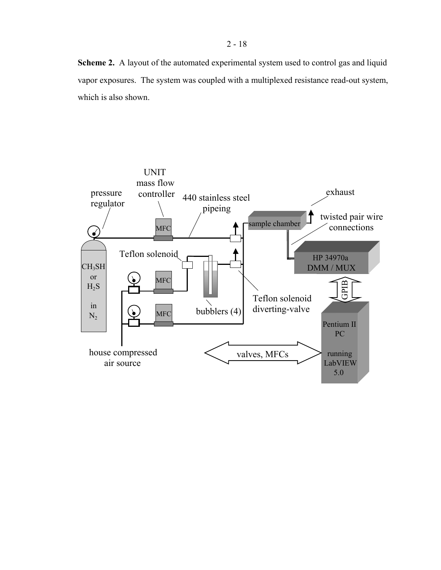**Scheme 2.** A layout of the automated experimental system used to control gas and liquid vapor exposures. The system was coupled with a multiplexed resistance read-out system, which is also shown.

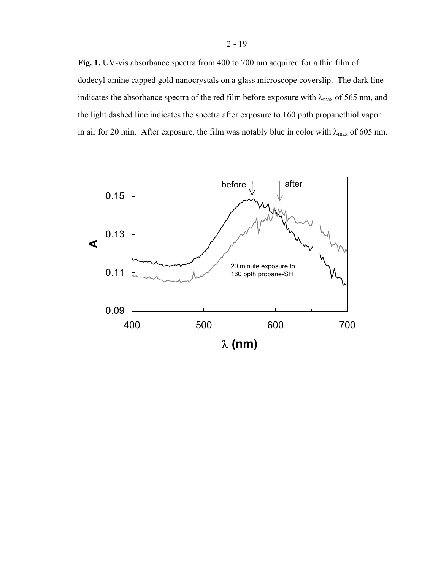**Fig. 1.** UV-vis absorbance spectra from 400 to 700 nm acquired for a thin film of dodecyl-amine capped gold nanocrystals on a glass microscope coverslip. The dark line indicates the absorbance spectra of the red film before exposure with  $\lambda_{\text{max}}$  of 565 nm, and the light dashed line indicates the spectra after exposure to 160 ppth propanethiol vapor in air for 20 min. After exposure, the film was notably blue in color with  $\lambda_{\text{max}}$  of 605 nm.

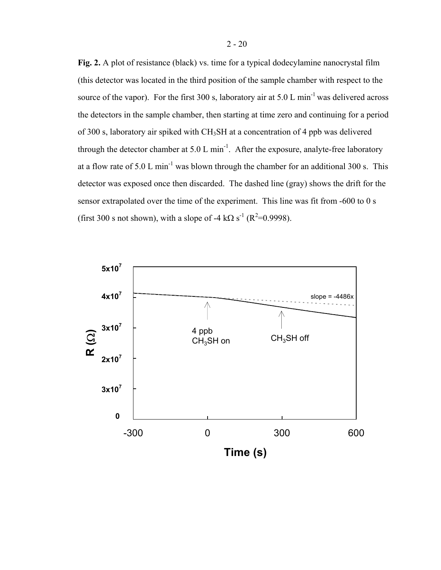**Fig. 2.** A plot of resistance (black) vs. time for a typical dodecylamine nanocrystal film (this detector was located in the third position of the sample chamber with respect to the source of the vapor). For the first 300 s, laboratory air at 5.0 L min<sup>-1</sup> was delivered across the detectors in the sample chamber, then starting at time zero and continuing for a period of 300 s, laboratory air spiked with CH3SH at a concentration of 4 ppb was delivered through the detector chamber at  $5.0 \text{ L min}^{-1}$ . After the exposure, analyte-free laboratory at a flow rate of 5.0 L min<sup>-1</sup> was blown through the chamber for an additional 300 s. This detector was exposed once then discarded. The dashed line (gray) shows the drift for the sensor extrapolated over the time of the experiment. This line was fit from -600 to 0 s (first 300 s not shown), with a slope of -4 kΩ s<sup>-1</sup> ( $R^2$ =0.9998).

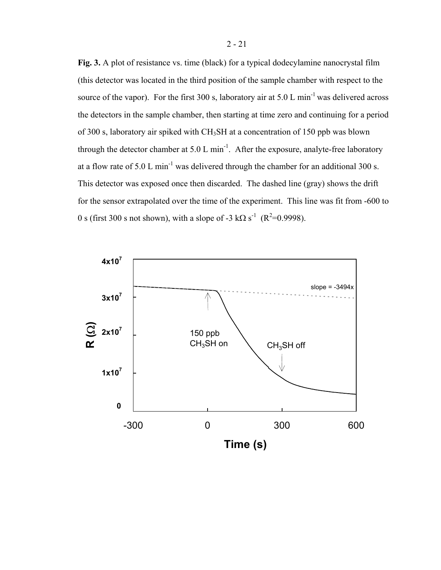**Fig. 3.** A plot of resistance vs. time (black) for a typical dodecylamine nanocrystal film (this detector was located in the third position of the sample chamber with respect to the source of the vapor). For the first 300 s, laboratory air at 5.0 L min<sup>-1</sup> was delivered across the detectors in the sample chamber, then starting at time zero and continuing for a period of 300 s, laboratory air spiked with CH3SH at a concentration of 150 ppb was blown through the detector chamber at  $5.0 \text{ L min}^{-1}$ . After the exposure, analyte-free laboratory at a flow rate of 5.0 L min<sup>-1</sup> was delivered through the chamber for an additional 300 s. This detector was exposed once then discarded. The dashed line (gray) shows the drift for the sensor extrapolated over the time of the experiment. This line was fit from -600 to 0 s (first 300 s not shown), with a slope of -3 k $\Omega$  s<sup>-1</sup> (R<sup>2</sup>=0.9998).

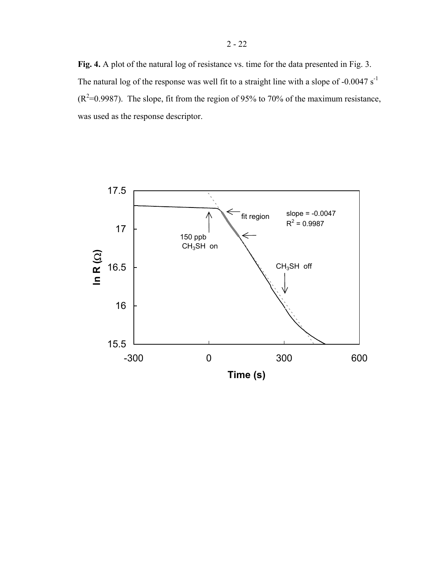**Fig. 4.** A plot of the natural log of resistance vs. time for the data presented in Fig. 3. The natural log of the response was well fit to a straight line with a slope of -0.0047  $s^{-1}$  $(R^2=0.9987)$ . The slope, fit from the region of 95% to 70% of the maximum resistance, was used as the response descriptor.

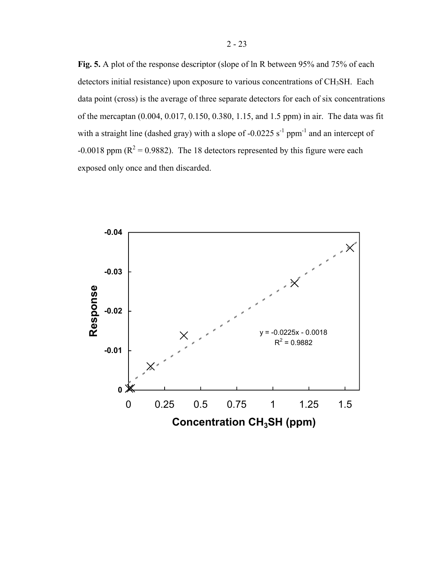Fig. 5. A plot of the response descriptor (slope of ln R between 95% and 75% of each detectors initial resistance) upon exposure to various concentrations of  $CH<sub>3</sub>SH$ . Each data point (cross) is the average of three separate detectors for each of six concentrations of the mercaptan (0.004, 0.017, 0.150, 0.380, 1.15, and 1.5 ppm) in air. The data was fit with a straight line (dashed gray) with a slope of -0.0225  $s^{-1}$  ppm<sup>-1</sup> and an intercept of -0.0018 ppm ( $R^2$  = 0.9882). The 18 detectors represented by this figure were each exposed only once and then discarded.

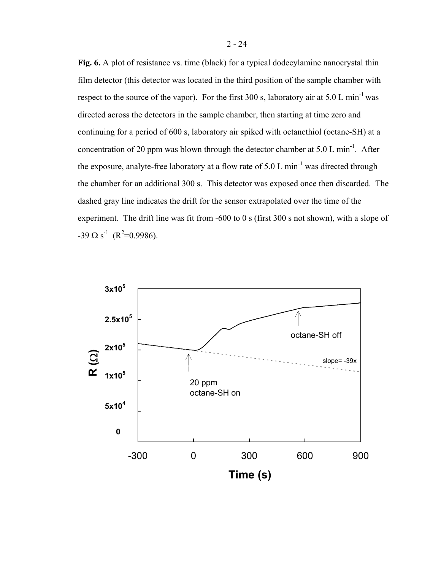**Fig. 6.** A plot of resistance vs. time (black) for a typical dodecylamine nanocrystal thin film detector (this detector was located in the third position of the sample chamber with respect to the source of the vapor). For the first 300 s, laboratory air at 5.0 L min<sup>-1</sup> was directed across the detectors in the sample chamber, then starting at time zero and continuing for a period of 600 s, laboratory air spiked with octanethiol (octane-SH) at a concentration of 20 ppm was blown through the detector chamber at 5.0 L min<sup>-1</sup>. After the exposure, analyte-free laboratory at a flow rate of 5.0 L  $min^{-1}$  was directed through the chamber for an additional 300 s. This detector was exposed once then discarded. The dashed gray line indicates the drift for the sensor extrapolated over the time of the experiment. The drift line was fit from -600 to 0 s (first 300 s not shown), with a slope of  $-39 \Omega s^{-1}$  (R<sup>2</sup>=0.9986).

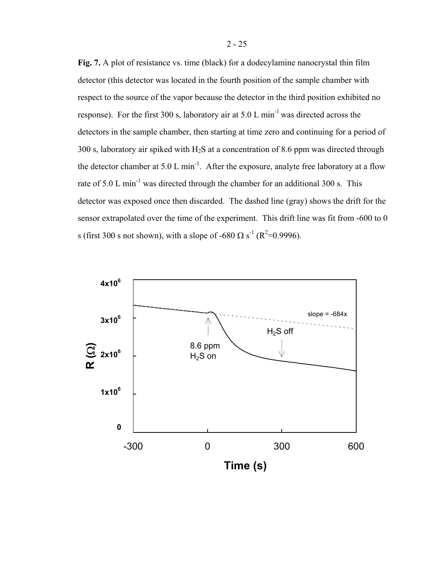**Fig. 7.** A plot of resistance vs. time (black) for a dodecylamine nanocrystal thin film detector (this detector was located in the fourth position of the sample chamber with respect to the source of the vapor because the detector in the third position exhibited no response). For the first 300 s, laboratory air at 5.0 L min<sup>-1</sup> was directed across the detectors in the sample chamber, then starting at time zero and continuing for a period of 300 s, laboratory air spiked with  $H_2S$  at a concentration of 8.6 ppm was directed through the detector chamber at  $5.0 \text{ L min}^{-1}$ . After the exposure, analyte free laboratory at a flow rate of 5.0 L min<sup>-1</sup> was directed through the chamber for an additional 300 s. This detector was exposed once then discarded. The dashed line (gray) shows the drift for the sensor extrapolated over the time of the experiment. This drift line was fit from -600 to 0 s (first 300 s not shown), with a slope of -680  $\Omega$  s<sup>-1</sup> (R<sup>2</sup>=0.9996).

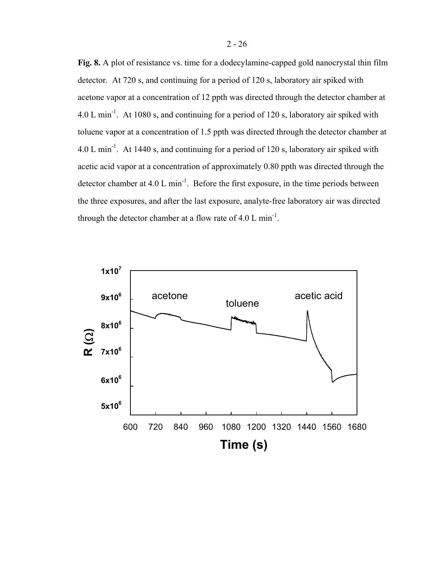**Fig. 8.** A plot of resistance vs. time for a dodecylamine-capped gold nanocrystal thin film detector. At 720 s, and continuing for a period of 120 s, laboratory air spiked with acetone vapor at a concentration of 12 ppth was directed through the detector chamber at  $4.0 \text{ L min}^{-1}$ . At 1080 s, and continuing for a period of 120 s, laboratory air spiked with toluene vapor at a concentration of 1.5 ppth was directed through the detector chamber at 4.0 L min<sup>-1</sup>. At 1440 s, and continuing for a period of 120 s, laboratory air spiked with acetic acid vapor at a concentration of approximately 0.80 ppth was directed through the detector chamber at  $4.0 \text{ L min}^{-1}$ . Before the first exposure, in the time periods between the three exposures, and after the last exposure, analyte-free laboratory air was directed through the detector chamber at a flow rate of 4.0 L min<sup>-1</sup>.

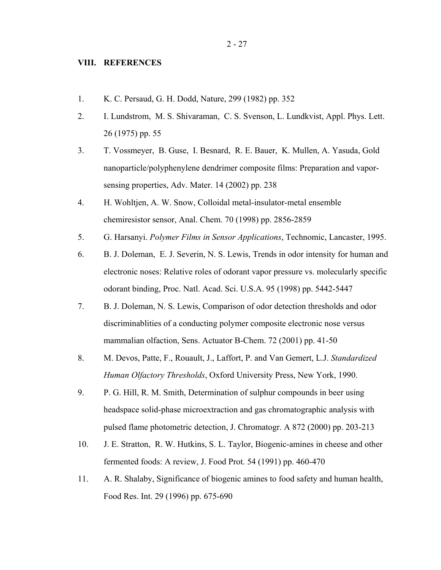- 1. K. C. Persaud, G. H. Dodd, Nature, 299 (1982) pp. 352
- 2. I. Lundstrom, M. S. Shivaraman, C. S. Svenson, L. Lundkvist, Appl. Phys. Lett. 26 (1975) pp. 55
- 3. T. Vossmeyer, B. Guse, I. Besnard, R. E. Bauer, K. Mullen, A. Yasuda, Gold nanoparticle/polyphenylene dendrimer composite films: Preparation and vaporsensing properties, Adv. Mater. 14 (2002) pp. 238
- 4. H. Wohltjen, A. W. Snow, Colloidal metal-insulator-metal ensemble chemiresistor sensor, Anal. Chem. 70 (1998) pp. 2856-2859
- 5. G. Harsanyi. *Polymer Films in Sensor Applications*, Technomic, Lancaster, 1995.
- 6. B. J. Doleman, E. J. Severin, N. S. Lewis, Trends in odor intensity for human and electronic noses: Relative roles of odorant vapor pressure vs. molecularly specific odorant binding, Proc. Natl. Acad. Sci. U.S.A. 95 (1998) pp. 5442-5447
- 7. B. J. Doleman, N. S. Lewis, Comparison of odor detection thresholds and odor discriminablities of a conducting polymer composite electronic nose versus mammalian olfaction, Sens. Actuator B-Chem. 72 (2001) pp. 41-50
- 8. M. Devos, Patte, F., Rouault, J., Laffort, P. and Van Gemert, L.J. *Standardized Human Olfactory Thresholds*, Oxford University Press, New York, 1990.
- 9. P. G. Hill, R. M. Smith, Determination of sulphur compounds in beer using headspace solid-phase microextraction and gas chromatographic analysis with pulsed flame photometric detection, J. Chromatogr. A 872 (2000) pp. 203-213
- 10. J. E. Stratton, R. W. Hutkins, S. L. Taylor, Biogenic-amines in cheese and other fermented foods: A review, J. Food Prot. 54 (1991) pp. 460-470
- 11. A. R. Shalaby, Significance of biogenic amines to food safety and human health, Food Res. Int. 29 (1996) pp. 675-690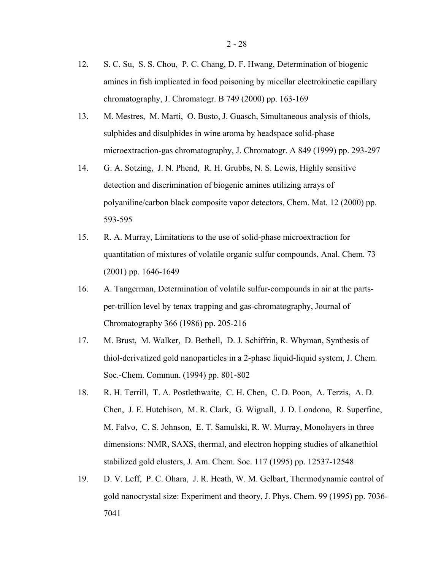- 12. S. C. Su, S. S. Chou, P. C. Chang, D. F. Hwang, Determination of biogenic amines in fish implicated in food poisoning by micellar electrokinetic capillary chromatography, J. Chromatogr. B 749 (2000) pp. 163-169
- 13. M. Mestres, M. Marti, O. Busto, J. Guasch, Simultaneous analysis of thiols, sulphides and disulphides in wine aroma by headspace solid-phase microextraction-gas chromatography, J. Chromatogr. A 849 (1999) pp. 293-297
- 14. G. A. Sotzing, J. N. Phend, R. H. Grubbs, N. S. Lewis, Highly sensitive detection and discrimination of biogenic amines utilizing arrays of polyaniline/carbon black composite vapor detectors, Chem. Mat. 12 (2000) pp. 593-595
- 15. R. A. Murray, Limitations to the use of solid-phase microextraction for quantitation of mixtures of volatile organic sulfur compounds, Anal. Chem. 73 (2001) pp. 1646-1649
- 16. A. Tangerman, Determination of volatile sulfur-compounds in air at the partsper-trillion level by tenax trapping and gas-chromatography, Journal of Chromatography 366 (1986) pp. 205-216
- 17. M. Brust, M. Walker, D. Bethell, D. J. Schiffrin, R. Whyman, Synthesis of thiol-derivatized gold nanoparticles in a 2-phase liquid-liquid system, J. Chem. Soc.-Chem. Commun. (1994) pp. 801-802
- 18. R. H. Terrill, T. A. Postlethwaite, C. H. Chen, C. D. Poon, A. Terzis, A. D. Chen, J. E. Hutchison, M. R. Clark, G. Wignall, J. D. Londono, R. Superfine, M. Falvo, C. S. Johnson, E. T. Samulski, R. W. Murray, Monolayers in three dimensions: NMR, SAXS, thermal, and electron hopping studies of alkanethiol stabilized gold clusters, J. Am. Chem. Soc. 117 (1995) pp. 12537-12548
- 19. D. V. Leff, P. C. Ohara, J. R. Heath, W. M. Gelbart, Thermodynamic control of gold nanocrystal size: Experiment and theory, J. Phys. Chem. 99 (1995) pp. 7036- 7041